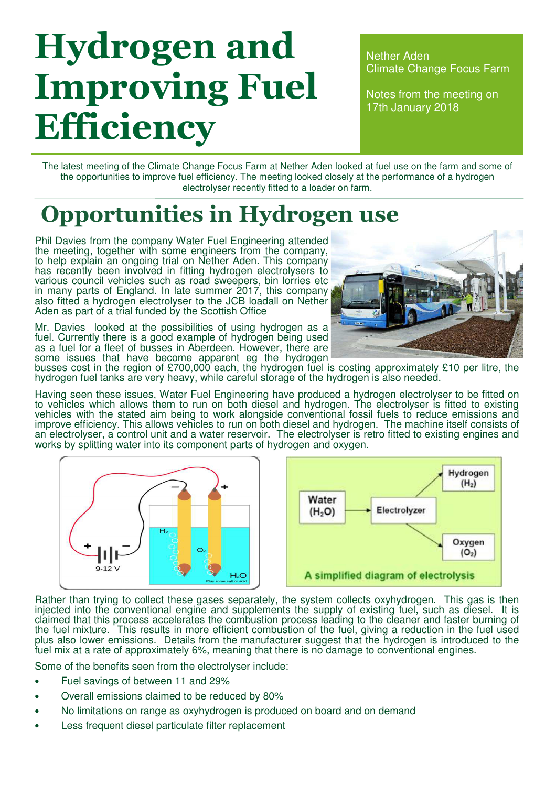# Hydrogen and Improving Fuel **Efficiency**

Nether Aden Climate Change Focus Farm

Notes from the meeting on 17th January 2018

The latest meeting of the Climate Change Focus Farm at Nether Aden looked at fuel use on the farm and some of the opportunities to improve fuel efficiency. The meeting looked closely at the performance of a hydrogen electrolyser recently fitted to a loader on farm.

### Opportunities in Hydrogen use

Phil Davies from the company Water Fuel Engineering attended the meeting, together with some engineers from the company, to help explain an ongoing trial on Nether Aden. This company has recently been involved in fitting hydrogen electrolysers to various council vehicles such as road sweepers, bin lorries etc in many parts of England. In late summer 2017, this company also fitted a hydrogen electrolyser to the JCB loadall on Nether Aden as part of a trial funded by the Scottish Office

Mr. Davies looked at the possibilities of using hydrogen as a fuel. Currently there is a good example of hydrogen being used as a fuel for a fleet of busses in Aberdeen. However, there are some issues that have become apparent eg the hydrogen



busses cost in the region of £700,000 each, the hydrogen fuel is costing approximately £10 per litre, the hydrogen fuel tanks are very heavy, while careful storage of the hydrogen is also needed.

Having seen these issues, Water Fuel Engineering have produced a hydrogen electrolyser to be fitted on to vehicles which allows them to run on both diesel and hydrogen. The electrolyser is fitted to existing vehicles with the stated aim being to work alongside conventional fossil fuels to reduce emissions and improve efficiency. This allows vehicles to run on both diesel and hydrogen. The machine itself consists of an electrolyser, a control unit and a water reservoir. The electrolyser is retro fitted to existing engines and works by splitting water into its component parts of hydrogen and oxygen.





Rather than trying to collect these gases separately, the system collects oxyhydrogen. This gas is then injected into the conventional engine and supplements the supply of existing fuel, such as diesel. It is claimed that this process accelerates the combustion process leading to the cleaner and faster burning of the fuel mixture. This results in more efficient combustion of the fuel, giving a reduction in the fuel used plus also lower emissions. Details from the manufacturer suggest that the hydrogen is introduced to the fuel mix at a rate of approximately 6%, meaning that there is no damage to conventional engines.

Some of the benefits seen from the electrolyser include:

- Fuel savings of between 11 and 29%
- Overall emissions claimed to be reduced by 80%
- No limitations on range as oxyhydrogen is produced on board and on demand
- Less frequent diesel particulate filter replacement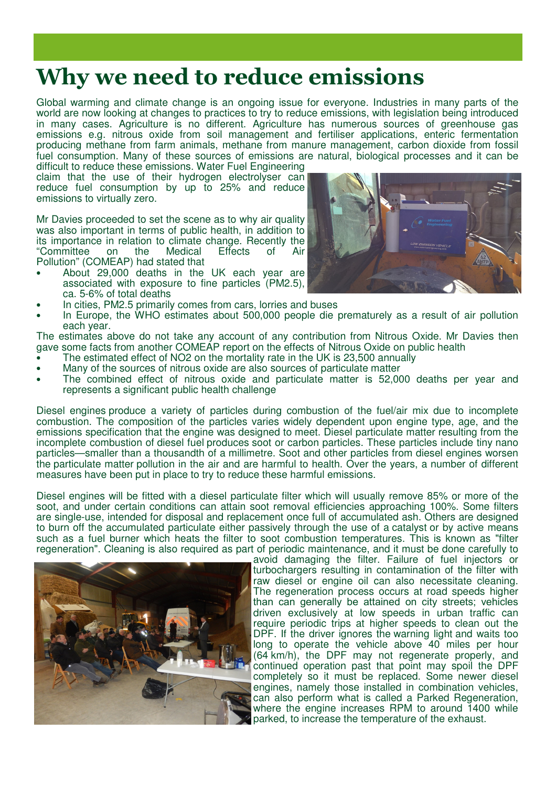#### Why we need to reduce emissions

Global warming and climate change is an ongoing issue for everyone. Industries in many parts of the world are now looking at changes to practices to try to reduce emissions, with legislation being introduced in many cases. Agriculture is no different. Agriculture has numerous sources of greenhouse gas emissions e.g. nitrous oxide from soil management and fertiliser applications, enteric fermentation producing methane from farm animals, methane from manure management, carbon dioxide from fossil fuel consumption. Many of these sources of emissions are natural, biological processes and it can be

difficult to reduce these emissions. Water Fuel Engineering claim that the use of their hydrogen electrolyser can reduce fuel consumption by up to 25% and reduce emissions to virtually zero.

Mr Davies proceeded to set the scene as to why air quality was also important in terms of public health, in addition to its importance in relation to climate change. Recently the "Committee on the Medical Effects of Air "Committee on the Medical Effects of Air Pollution" (COMEAP) had stated that

- About 29,000 deaths in the UK each year are associated with exposure to fine particles (PM2.5), ca. 5-6% of total deaths
- In cities, PM2.5 primarily comes from cars, lorries and buses
- In Europe, the WHO estimates about 500,000 people die prematurely as a result of air pollution each year.

The estimates above do not take any account of any contribution from Nitrous Oxide. Mr Davies then gave some facts from another COMEAP report on the effects of Nitrous Oxide on public health

- The estimated effect of NO2 on the mortality rate in the UK is 23,500 annually
- Many of the sources of nitrous oxide are also sources of particulate matter
- The combined effect of nitrous oxide and particulate matter is 52,000 deaths per year and represents a significant public health challenge

Diesel engines produce a variety of particles during combustion of the fuel/air mix due to incomplete combustion. The composition of the particles varies widely dependent upon engine type, age, and the emissions specification that the engine was designed to meet. Diesel particulate matter resulting from the incomplete combustion of diesel fuel produces soot or carbon particles. These particles include tiny nano particles—smaller than a thousandth of a millimetre. Soot and other particles from diesel engines worsen the particulate matter pollution in the air and are harmful to health. Over the years, a number of different measures have been put in place to try to reduce these harmful emissions.

Diesel engines will be fitted with a diesel particulate filter which will usually remove 85% or more of the soot, and under certain conditions can attain soot removal efficiencies approaching 100%. Some filters are single-use, intended for disposal and replacement once full of accumulated ash. Others are designed to burn off the accumulated particulate either passively through the use of a catalyst or by active means such as a fuel burner which heats the filter to soot combustion temperatures. This is known as "filter regeneration". Cleaning is also required as part of periodic maintenance, and it must be done carefully to



avoid damaging the filter. Failure of fuel injectors or turbochargers resulting in contamination of the filter with raw diesel or engine oil can also necessitate cleaning. The regeneration process occurs at road speeds higher than can generally be attained on city streets; vehicles driven exclusively at low speeds in urban traffic can require periodic trips at higher speeds to clean out the DPF. If the driver ignores the warning light and waits too long to operate the vehicle above 40 miles per hour (64 km/h), the DPF may not regenerate properly, and continued operation past that point may spoil the DPF completely so it must be replaced. Some newer diesel engines, namely those installed in combination vehicles, can also perform what is called a Parked Regeneration, where the engine increases RPM to around 1400 while parked, to increase the temperature of the exhaust.

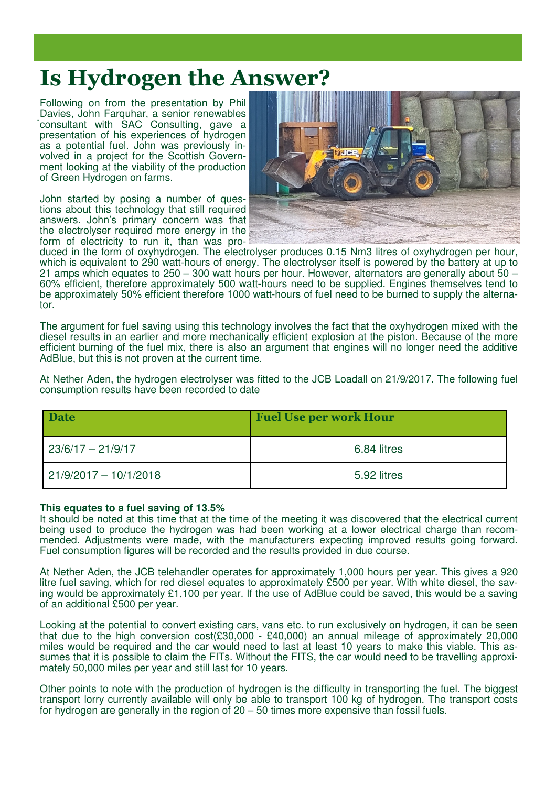#### Is Hydrogen the Answer?

. Davies, John Farquhar, a senior renewables Following on from the presentation by Phil consultant with SAC Consulting, gave a presentation of his experiences of hydrogen as a potential fuel. John was previously involved in a project for the Scottish Government looking at the viability of the production of Green Hydrogen on farms.

John started by posing a number of questions about this technology that still required answers. John's primary concern was that the electrolyser required more energy in the form of electricity to run it, than was pro-



duced in the form of oxyhydrogen. The electrolyser produces 0.15 Nm3 litres of oxyhydrogen per hour, which is equivalent to 290 watt-hours of energy. The electrolyser itself is powered by the battery at up to 21 amps which equates to 250 – 300 watt hours per hour. However, alternators are generally about 50 – 60% efficient, therefore approximately 500 watt-hours need to be supplied. Engines themselves tend to be approximately 50% efficient therefore 1000 watt-hours of fuel need to be burned to supply the alternator.

The argument for fuel saving using this technology involves the fact that the oxyhydrogen mixed with the diesel results in an earlier and more mechanically efficient explosion at the piston. Because of the more efficient burning of the fuel mix, there is also an argument that engines will no longer need the additive AdBlue, but this is not proven at the current time.

At Nether Aden, the hydrogen electrolyser was fitted to the JCB Loadall on 21/9/2017. The following fuel consumption results have been recorded to date

| <b>Date</b>             | <b>Fuel Use per work Hour</b> |
|-------------------------|-------------------------------|
| $23/6/17 - 21/9/17$     | 6.84 litres                   |
| $21/9/2017 - 10/1/2018$ | 5.92 litres                   |

#### **This equates to a fuel saving of 13.5%**

It should be noted at this time that at the time of the meeting it was discovered that the electrical current being used to produce the hydrogen was had been working at a lower electrical charge than recommended. Adjustments were made, with the manufacturers expecting improved results going forward. Fuel consumption figures will be recorded and the results provided in due course.

At Nether Aden, the JCB telehandler operates for approximately 1,000 hours per year. This gives a 920 litre fuel saving, which for red diesel equates to approximately £500 per year. With white diesel, the saving would be approximately £1,100 per year. If the use of AdBlue could be saved, this would be a saving of an additional £500 per year.

Looking at the potential to convert existing cars, vans etc. to run exclusively on hydrogen, it can be seen that due to the high conversion  $cost(\text{\textsterling}30,000 - \text{\textsterling}40,000)$  an annual mileage of approximately 20,000 miles would be required and the car would need to last at least 10 years to make this viable. This assumes that it is possible to claim the FITs. Without the FITS, the car would need to be travelling approximately 50,000 miles per year and still last for 10 years.

Other points to note with the production of hydrogen is the difficulty in transporting the fuel. The biggest transport lorry currently available will only be able to transport 100 kg of hydrogen. The transport costs for hydrogen are generally in the region of 20 – 50 times more expensive than fossil fuels.